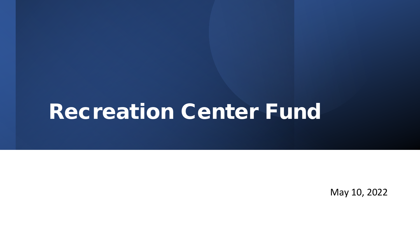# Recreation Center Fund

May 10, 2022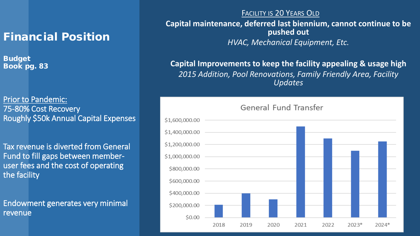Budget Book pg. 83

Prior to Pandemic: 75-80% Cost Recovery Roughly \$50k Annual Capital Expenses

Tax revenue is diverted from General Fund to fill gaps between memberuser fees and the cost of operating the facility

Endowment generates very minimal revenue

#### FACILITY IS 20 YEARS OLD

**Capital maintenance, deferred last biennium, cannot continue to be pushed out** *HVAC, Mechanical Equipment, Etc.*

**Capital Improvements to keep the facility appealing & usage high** *2015 Addition, Pool Renovations, Family Friendly Area, Facility Updates*

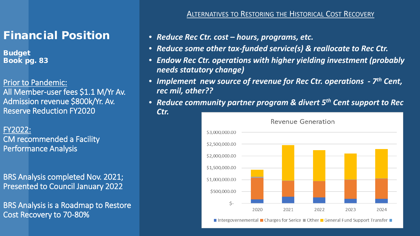Budget Book pg. 83

Prior to Pandemic: All Member-user fees \$1.1 M/Yr Av. Admission revenue \$800k/Yr. Av. Reserve Reduction FY2020

FY2022: CM recommended a Facility Performance Analysis

BRS Analysis completed Nov. 2021; Presented to Council January 2022

BRS Analysis is a Roadmap to Restore Cost Recovery to 70-80%

### ALTERNATIVES TO RESTORING THE HISTORICAL COST RECOVERY

- *Reduce Rec Ctr. cost – hours, programs, etc.*
- *Reduce some other tax-funded service(s) & reallocate to Rec Ctr.*
- *Endow Rec Ctr. operations with higher yielding investment (probably needs statutory change)*
- *Implement new source of revenue for Rec Ctr. operations - 7th Cent, rec mil, other??*
- *Reduce community partner program & divert 5th Cent support to Rec Ctr.*



■ Intergovernemental ■ Charges for Serice ■ Other ■ General Fund Support Transfer ■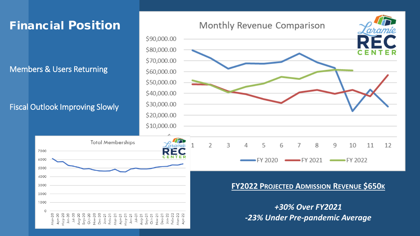Members & Users Returning

## Fiscal Outlook Improving Slowly

7000 6000

5000 4000

3000 2000 1000



### **FY2022 PROJECTED ADMISSION REVENUE \$650K**

*+30% Over FY2021 -23% Under Pre-pandemic Average*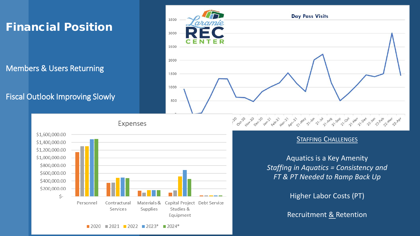## Members & Users Returning

## Fiscal Outlook Improving Slowly





 $\blacksquare$  2021  $\blacksquare$  2022  $\blacksquare$  2023\*

■ 2020

 $12024*$ 

Expenses

#### STAFFING CHALLENGES

Aquatics is a Key Amenity *Staffing in Aquatics = Consistency and FT & PT Needed to Ramp Back Up*

Higher Labor Costs (PT)

Recruitment & Retention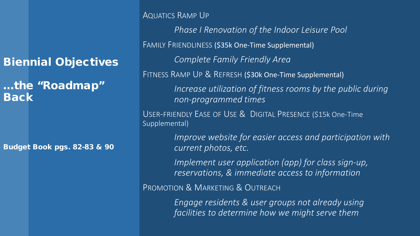# Biennial Objectives

## …the "Roadmap" Back

Budget Book pgs. 82-83 & 90

AQUATICS RAMP UP

*Phase I Renovation of the Indoor Leisure Pool*

FAMILY FRIENDLINESS (\$35k One-Time Supplemental)

*Complete Family Friendly Area* 

FITNESS RAMP UP & REFRESH (\$30k One-Time Supplemental)

*Increase utilization of fitness rooms by the public during non-programmed times*

USER-FRIENDLY EASE OF USE & DIGITAL PRESENCE (\$15k One-Time Supplemental)

> *Improve website for easier access and participation with current photos, etc.*

*Implement user application (app) for class sign-up, reservations, & immediate access to information*

PROMOTION & MARKETING & OUTREACH

*Engage residents & user groups not already using facilities to determine how we might serve them*